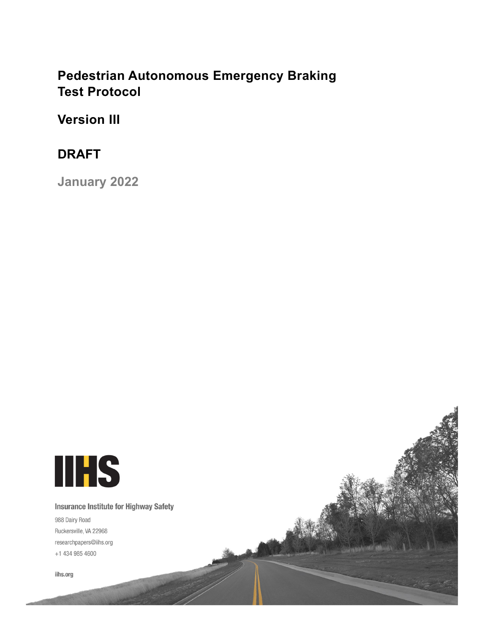# **Pedestrian Autonomous Emergency Braking Test Protocol**

**Version III**

# **DRAFT**

**January 2022**

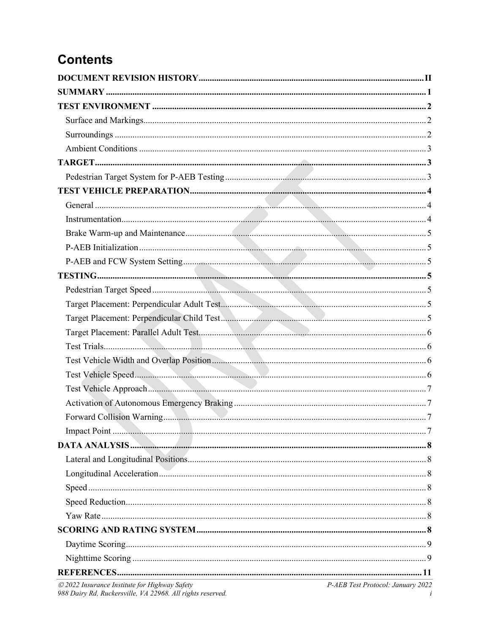# **Contents**

| © 2022 Insurance Institute for Highway Safety | P-AEB Test Protocol: January 2022 |
|-----------------------------------------------|-----------------------------------|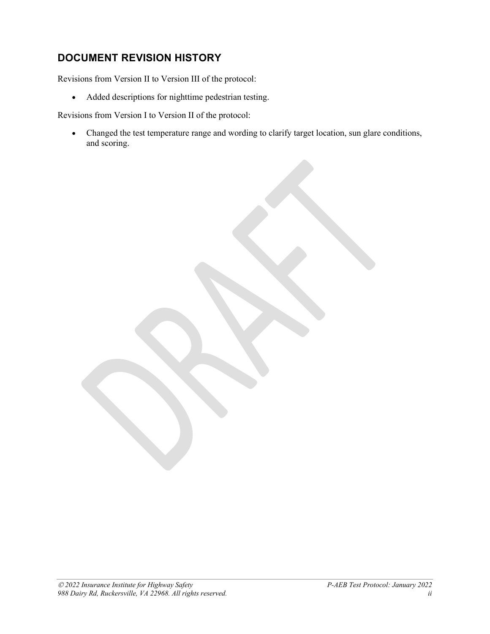# <span id="page-2-0"></span>**DOCUMENT REVISION HISTORY**

Revisions from Version II to Version III of the protocol:

• Added descriptions for nighttime pedestrian testing.

Revisions from Version I to Version II of the protocol:

• Changed the test temperature range and wording to clarify target location, sun glare conditions, and scoring.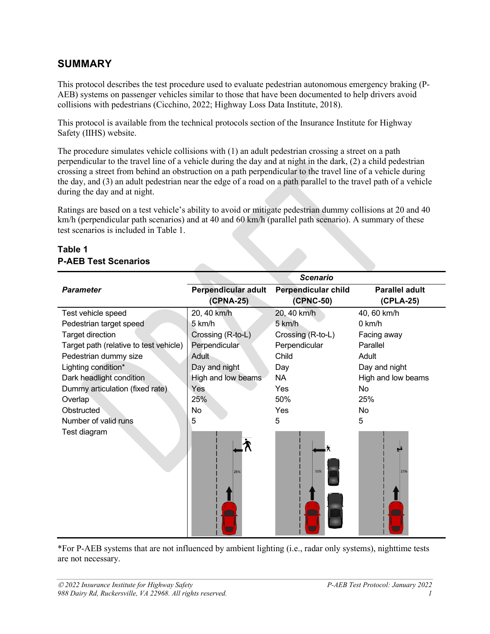# <span id="page-3-0"></span>**SUMMARY**

This protocol describes the test procedure used to evaluate pedestrian autonomous emergency braking (P-AEB) systems on passenger vehicles similar to those that have been documented to help drivers avoid collisions with pedestrians (Cicchino, 2022; Highway Loss Data Institute, 2018).

This protocol is available from the technical protocols section of the Insurance Institute for Highway Safety (IIHS) website.

The procedure simulates vehicle collisions with (1) an adult pedestrian crossing a street on a path perpendicular to the travel line of a vehicle during the day and at night in the dark, (2) a child pedestrian crossing a street from behind an obstruction on a path perpendicular to the travel line of a vehicle during the day, and (3) an adult pedestrian near the edge of a road on a path parallel to the travel path of a vehicle during the day and at night.

Ratings are based on a test vehicle's ability to avoid or mitigate pedestrian dummy collisions at 20 and 40 km/h (perpendicular path scenarios) and at 40 and 60 km/h (parallel path scenario). A summary of these test scenarios is included in Table 1.

|                                        |                     | <b>Scenario</b>            |                       |
|----------------------------------------|---------------------|----------------------------|-----------------------|
| <b>Parameter</b>                       | Perpendicular adult | <b>Perpendicular child</b> | <b>Parallel adult</b> |
|                                        | (CPNA-25)           | (CPNC-50)                  | (CPLA-25)             |
| Test vehicle speed                     | 20, 40 km/h         | 20, 40 km/h                | 40, 60 km/h           |
| Pedestrian target speed                | 5 km/h              | 5 km/h                     | $0$ km/h              |
| Target direction                       | Crossing (R-to-L)   | Crossing (R-to-L)          | Facing away           |
| Target path (relative to test vehicle) | Perpendicular       | Perpendicular              | Parallel              |
| Pedestrian dummy size                  | Adult               | Child                      | Adult                 |
| Lighting condition*                    | Day and night       | Day                        | Day and night         |
| Dark headlight condition               | High and low beams  | <b>NA</b>                  | High and low beams    |
| Dummy articulation (fixed rate)        | Yes                 | Yes                        | No                    |
| Overlap                                | 25%                 | 50%                        | 25%                   |
| Obstructed                             | No                  | Yes                        | No                    |
| Number of valid runs                   | 5                   | 5                          | 5                     |
| Test diagram                           | 25%                 | 50%                        | g, i<br>25%           |

### **Table 1 P-AEB Test Scenarios**

\*For P-AEB systems that are not influenced by ambient lighting (i.e., radar only systems), nighttime tests are not necessary.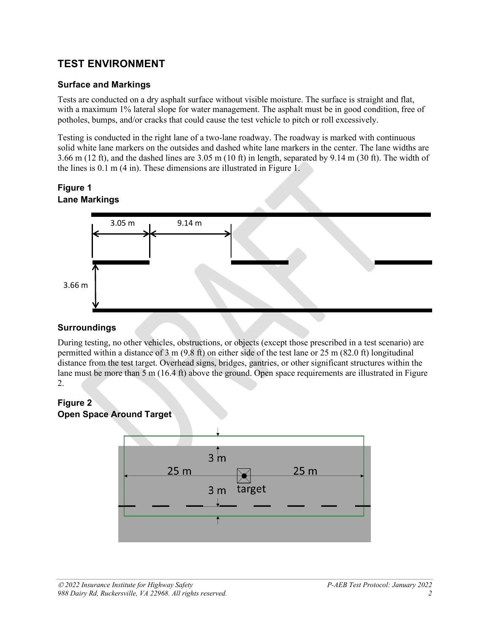# <span id="page-4-0"></span>**TEST ENVIRONMENT**

#### <span id="page-4-1"></span>**Surface and Markings**

Tests are conducted on a dry asphalt surface without visible moisture. The surface is straight and flat, with a maximum 1% lateral slope for water management. The asphalt must be in good condition, free of potholes, bumps, and/or cracks that could cause the test vehicle to pitch or roll excessively.

Testing is conducted in the right lane of a two-lane roadway. The roadway is marked with continuous solid white lane markers on the outsides and dashed white lane markers in the center. The lane widths are 3.66 m (12 ft), and the dashed lines are 3.05 m (10 ft) in length, separated by 9.14 m (30 ft). The width of the lines is 0.1 m (4 in). These dimensions are illustrated in Figure 1.

#### **Figure 1 Lane Markings**



#### <span id="page-4-2"></span>**Surroundings**

During testing, no other vehicles, obstructions, or objects (except those prescribed in a test scenario) are permitted within a distance of 3 m (9.8 ft) on either side of the test lane or 25 m (82.0 ft) longitudinal distance from the test target. Overhead signs, bridges, gantries, or other significant structures within the lane must be more than 5 m (16.4 ft) above the ground. Open space requirements are illustrated in Figure 2.

# **Figure 2**



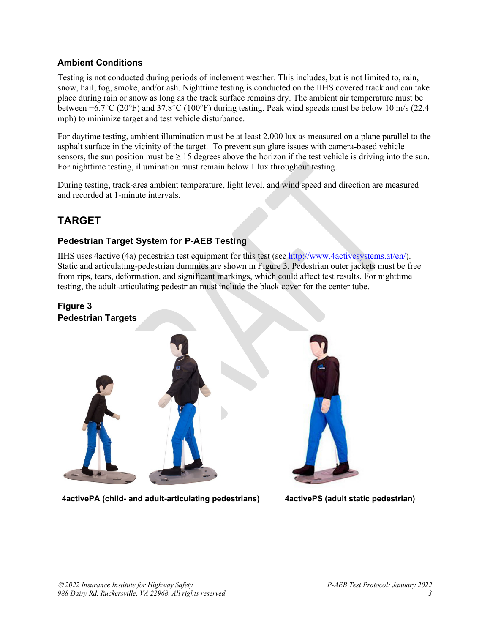#### <span id="page-5-0"></span>**Ambient Conditions**

Testing is not conducted during periods of inclement weather. This includes, but is not limited to, rain, snow, hail, fog, smoke, and/or ash. Nighttime testing is conducted on the IIHS covered track and can take place during rain or snow as long as the track surface remains dry. The ambient air temperature must be between −6.7°C (20°F) and 37.8°C (100°F) during testing. Peak wind speeds must be below 10 m/s (22.4 mph) to minimize target and test vehicle disturbance.

For daytime testing, ambient illumination must be at least 2,000 lux as measured on a plane parallel to the asphalt surface in the vicinity of the target. To prevent sun glare issues with camera-based vehicle sensors, the sun position must be  $\geq 15$  degrees above the horizon if the test vehicle is driving into the sun. For nighttime testing, illumination must remain below 1 lux throughout testing.

During testing, track-area ambient temperature, light level, and wind speed and direction are measured and recorded at 1-minute intervals.

# <span id="page-5-1"></span>**TARGET**

#### <span id="page-5-2"></span>**Pedestrian Target System for P-AEB Testing**

IIHS uses 4active (4a) pedestrian test equipment for this test (see [http://www.4activesystems.at/en/\)](http://www.4activesystems.at/en/). Static and articulating-pedestrian dummies are shown in Figure 3. Pedestrian outer jackets must be free from rips, tears, deformation, and significant markings, which could affect test results. For nighttime testing, the adult-articulating pedestrian must include the black cover for the center tube.

#### **Figure 3 Pedestrian Targets**



**4activePA (child- and adult-articulating pedestrians) 4activePS (adult static pedestrian)**

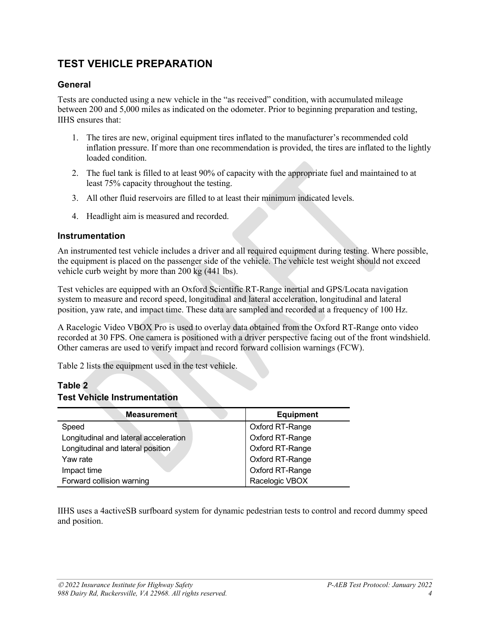# <span id="page-6-0"></span>**TEST VEHICLE PREPARATION**

#### <span id="page-6-1"></span>**General**

Tests are conducted using a new vehicle in the "as received" condition, with accumulated mileage between 200 and 5,000 miles as indicated on the odometer. Prior to beginning preparation and testing, IIHS ensures that:

- 1. The tires are new, original equipment tires inflated to the manufacturer's recommended cold inflation pressure. If more than one recommendation is provided, the tires are inflated to the lightly loaded condition.
- 2. The fuel tank is filled to at least 90% of capacity with the appropriate fuel and maintained to at least 75% capacity throughout the testing.
- 3. All other fluid reservoirs are filled to at least their minimum indicated levels.
- 4. Headlight aim is measured and recorded.

#### <span id="page-6-2"></span>**Instrumentation**

An instrumented test vehicle includes a driver and all required equipment during testing. Where possible, the equipment is placed on the passenger side of the vehicle. The vehicle test weight should not exceed vehicle curb weight by more than 200 kg (441 lbs).

Test vehicles are equipped with an Oxford Scientific RT-Range inertial and GPS/Locata navigation system to measure and record speed, longitudinal and lateral acceleration, longitudinal and lateral position, yaw rate, and impact time. These data are sampled and recorded at a frequency of 100 Hz.

A Racelogic Video VBOX Pro is used to overlay data obtained from the Oxford RT-Range onto video recorded at 30 FPS. One camera is positioned with a driver perspective facing out of the front windshield. Other cameras are used to verify impact and record forward collision warnings (FCW).

Table 2 lists the equipment used in the test vehicle.

#### **Table 2 Test Vehicle Instrumentation**

| <b>Measurement</b>                    | <b>Equipment</b> |
|---------------------------------------|------------------|
| Speed                                 | Oxford RT-Range  |
| Longitudinal and lateral acceleration | Oxford RT-Range  |
| Longitudinal and lateral position     | Oxford RT-Range  |
| Yaw rate                              | Oxford RT-Range  |
| Impact time                           | Oxford RT-Range  |
| Forward collision warning             | Racelogic VBOX   |

IIHS uses a 4activeSB surfboard system for dynamic pedestrian tests to control and record dummy speed and position.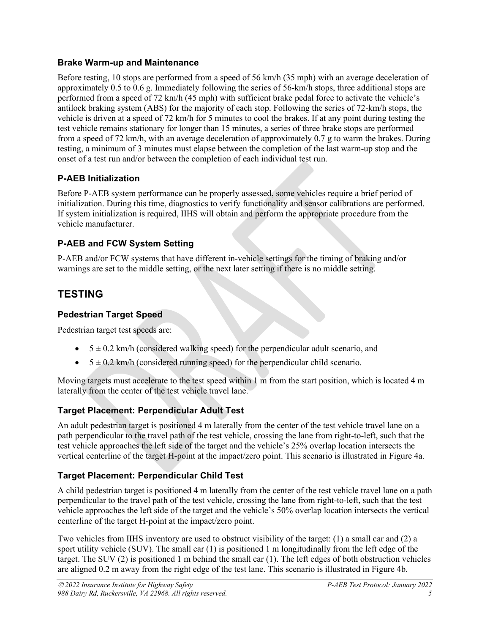#### <span id="page-7-0"></span>**Brake Warm-up and Maintenance**

Before testing, 10 stops are performed from a speed of 56 km/h (35 mph) with an average deceleration of approximately 0.5 to 0.6 g. Immediately following the series of 56-km/h stops, three additional stops are performed from a speed of 72 km/h (45 mph) with sufficient brake pedal force to activate the vehicle's antilock braking system (ABS) for the majority of each stop. Following the series of 72-km/h stops, the vehicle is driven at a speed of 72 km/h for 5 minutes to cool the brakes. If at any point during testing the test vehicle remains stationary for longer than 15 minutes, a series of three brake stops are performed from a speed of 72 km/h, with an average deceleration of approximately 0.7 g to warm the brakes. During testing, a minimum of 3 minutes must elapse between the completion of the last warm-up stop and the onset of a test run and/or between the completion of each individual test run.

### <span id="page-7-1"></span>**P-AEB Initialization**

Before P-AEB system performance can be properly assessed, some vehicles require a brief period of initialization. During this time, diagnostics to verify functionality and sensor calibrations are performed. If system initialization is required, IIHS will obtain and perform the appropriate procedure from the vehicle manufacturer.

## <span id="page-7-2"></span>**P-AEB and FCW System Setting**

P-AEB and/or FCW systems that have different in-vehicle settings for the timing of braking and/or warnings are set to the middle setting, or the next later setting if there is no middle setting.

# <span id="page-7-3"></span>**TESTING**

## <span id="page-7-4"></span>**Pedestrian Target Speed**

Pedestrian target test speeds are:

- $\bullet$  5  $\pm$  0.2 km/h (considered walking speed) for the perpendicular adult scenario, and
- $5 \pm 0.2$  km/h (considered running speed) for the perpendicular child scenario.

Moving targets must accelerate to the test speed within 1 m from the start position, which is located 4 m laterally from the center of the test vehicle travel lane.

### <span id="page-7-5"></span>**Target Placement: Perpendicular Adult Test**

An adult pedestrian target is positioned 4 m laterally from the center of the test vehicle travel lane on a path perpendicular to the travel path of the test vehicle, crossing the lane from right-to-left, such that the test vehicle approaches the left side of the target and the vehicle's 25% overlap location intersects the vertical centerline of the target H-point at the impact/zero point. This scenario is illustrated in Figure 4a.

### <span id="page-7-6"></span>**Target Placement: Perpendicular Child Test**

A child pedestrian target is positioned 4 m laterally from the center of the test vehicle travel lane on a path perpendicular to the travel path of the test vehicle, crossing the lane from right-to-left, such that the test vehicle approaches the left side of the target and the vehicle's 50% overlap location intersects the vertical centerline of the target H-point at the impact/zero point.

Two vehicles from IIHS inventory are used to obstruct visibility of the target: (1) a small car and (2) a sport utility vehicle (SUV). The small car (1) is positioned 1 m longitudinally from the left edge of the target. The SUV (2) is positioned 1 m behind the small car (1). The left edges of both obstruction vehicles are aligned 0.2 m away from the right edge of the test lane. This scenario is illustrated in Figure 4b.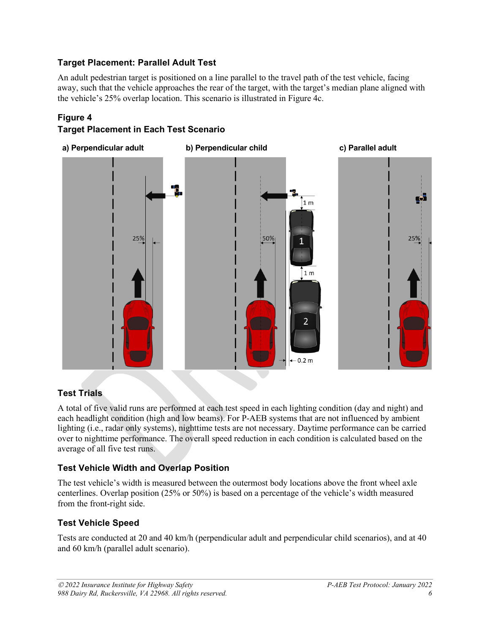### <span id="page-8-0"></span>**Target Placement: Parallel Adult Test**

An adult pedestrian target is positioned on a line parallel to the travel path of the test vehicle, facing away, such that the vehicle approaches the rear of the target, with the target's median plane aligned with the vehicle's 25% overlap location. This scenario is illustrated in Figure 4c.

#### **Figure 4**

#### **Target Placement in Each Test Scenario**



### <span id="page-8-1"></span>**Test Trials**

A total of five valid runs are performed at each test speed in each lighting condition (day and night) and each headlight condition (high and low beams). For P-AEB systems that are not influenced by ambient lighting (i.e., radar only systems), nighttime tests are not necessary. Daytime performance can be carried over to nighttime performance. The overall speed reduction in each condition is calculated based on the average of all five test runs.

#### <span id="page-8-2"></span>**Test Vehicle Width and Overlap Position**

The test vehicle's width is measured between the outermost body locations above the front wheel axle centerlines. Overlap position (25% or 50%) is based on a percentage of the vehicle's width measured from the front-right side.

#### <span id="page-8-3"></span>**Test Vehicle Speed**

Tests are conducted at 20 and 40 km/h (perpendicular adult and perpendicular child scenarios), and at 40 and 60 km/h (parallel adult scenario).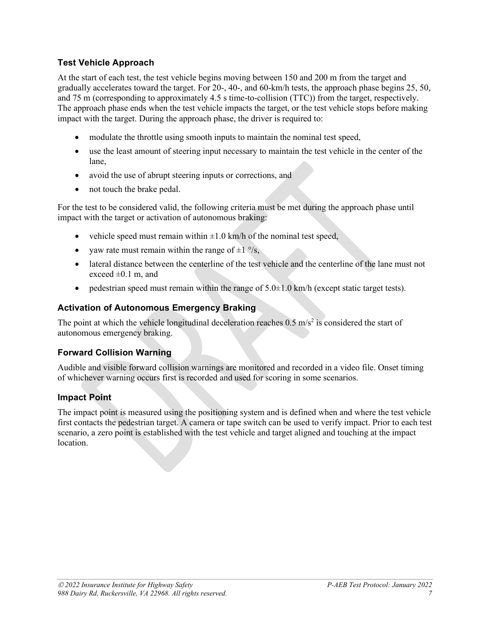#### <span id="page-9-0"></span>**Test Vehicle Approach**

At the start of each test, the test vehicle begins moving between 150 and 200 m from the target and gradually accelerates toward the target. For 20-, 40-, and 60-km/h tests, the approach phase begins 25, 50, and 75 m (corresponding to approximately 4.5 s time-to-collision (TTC)) from the target, respectively. The approach phase ends when the test vehicle impacts the target, or the test vehicle stops before making impact with the target. During the approach phase, the driver is required to:

- modulate the throttle using smooth inputs to maintain the nominal test speed,
- use the least amount of steering input necessary to maintain the test vehicle in the center of the lane,
- avoid the use of abrupt steering inputs or corrections, and
- not touch the brake pedal.

For the test to be considered valid, the following criteria must be met during the approach phase until impact with the target or activation of autonomous braking:

- vehicle speed must remain within  $\pm 1.0$  km/h of the nominal test speed,
- yaw rate must remain within the range of  $\pm 1$  %.
- lateral distance between the centerline of the test vehicle and the centerline of the lane must not exceed  $\pm 0.1$  m, and
- pedestrian speed must remain within the range of  $5.0\pm1.0$  km/h (except static target tests).

#### <span id="page-9-1"></span>**Activation of Autonomous Emergency Braking**

The point at which the vehicle longitudinal deceleration reaches  $0.5 \text{ m/s}^2$  is considered the start of autonomous emergency braking.

#### <span id="page-9-2"></span>**Forward Collision Warning**

Audible and visible forward collision warnings are monitored and recorded in a video file. Onset timing of whichever warning occurs first is recorded and used for scoring in some scenarios.

#### <span id="page-9-3"></span>**Impact Point**

The impact point is measured using the positioning system and is defined when and where the test vehicle first contacts the pedestrian target. A camera or tape switch can be used to verify impact. Prior to each test scenario, a zero point is established with the test vehicle and target aligned and touching at the impact location.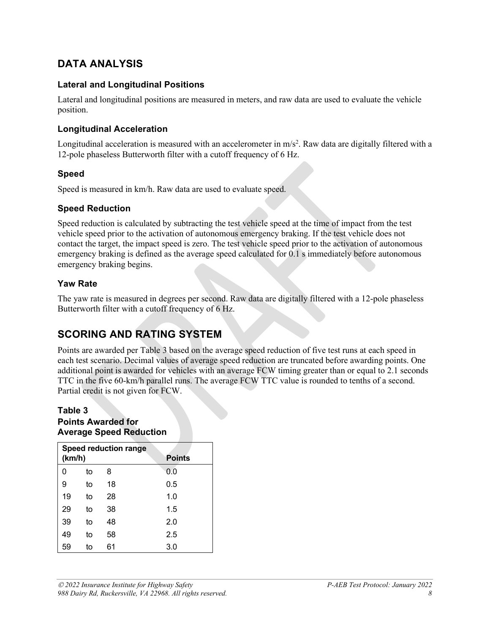# <span id="page-10-0"></span>**DATA ANALYSIS**

#### <span id="page-10-1"></span>**Lateral and Longitudinal Positions**

Lateral and longitudinal positions are measured in meters, and raw data are used to evaluate the vehicle position.

#### <span id="page-10-2"></span>**Longitudinal Acceleration**

Longitudinal acceleration is measured with an accelerometer in  $m/s^2$ . Raw data are digitally filtered with a 12-pole phaseless Butterworth filter with a cutoff frequency of 6 Hz.

#### <span id="page-10-3"></span>**Speed**

Speed is measured in km/h. Raw data are used to evaluate speed.

#### <span id="page-10-4"></span>**Speed Reduction**

Speed reduction is calculated by subtracting the test vehicle speed at the time of impact from the test vehicle speed prior to the activation of autonomous emergency braking. If the test vehicle does not contact the target, the impact speed is zero. The test vehicle speed prior to the activation of autonomous emergency braking is defined as the average speed calculated for 0.1 s immediately before autonomous emergency braking begins.

#### <span id="page-10-5"></span>**Yaw Rate**

The yaw rate is measured in degrees per second. Raw data are digitally filtered with a 12-pole phaseless Butterworth filter with a cutoff frequency of 6 Hz.

# <span id="page-10-6"></span>**SCORING AND RATING SYSTEM**

Points are awarded per Table 3 based on the average speed reduction of five test runs at each speed in each test scenario. Decimal values of average speed reduction are truncated before awarding points. One additional point is awarded for vehicles with an average FCW timing greater than or equal to 2.1 seconds TTC in the five 60-km/h parallel runs. The average FCW TTC value is rounded to tenths of a second. Partial credit is not given for FCW.

#### **Table 3 Points Awarded for Average Speed Reduction**

| (km/h) |    |    | <b>Speed reduction range</b><br><b>Points</b> |
|--------|----|----|-----------------------------------------------|
| 0      | to | 8  | 0.0                                           |
| 9      | to | 18 | 0.5                                           |
| 19     | to | 28 | 1.0                                           |
| 29     | to | 38 | 1.5                                           |
| 39     | to | 48 | 2.0                                           |
| 49     | to | 58 | 2.5                                           |
| 59     | to | 61 | 3.0                                           |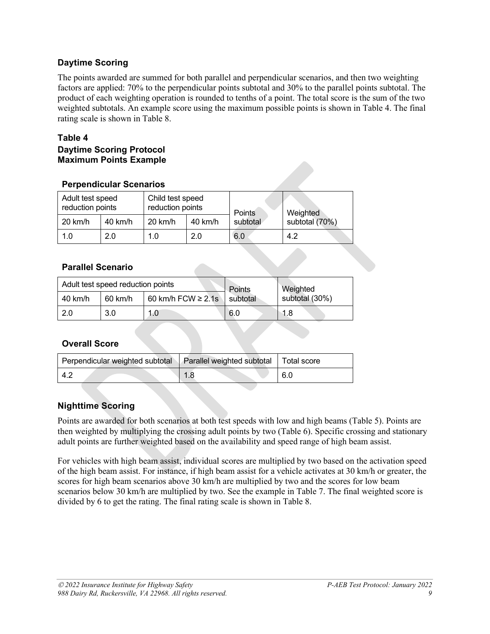#### <span id="page-11-0"></span>**Daytime Scoring**

The points awarded are summed for both parallel and perpendicular scenarios, and then two weighting factors are applied: 70% to the perpendicular points subtotal and 30% to the parallel points subtotal. The product of each weighting operation is rounded to tenths of a point. The total score is the sum of the two weighted subtotals. An example score using the maximum possible points is shown in Table 4. The final rating scale is shown in Table 8.

#### **Table 4**

#### **Daytime Scoring Protocol Maximum Points Example**

| <b>Perpendicular Scenarios</b> |  |
|--------------------------------|--|
|--------------------------------|--|

|         | Adult test speed<br>reduction points |           | Child test speed<br>reduction points |                           | Weighted       |
|---------|--------------------------------------|-----------|--------------------------------------|---------------------------|----------------|
| 20 km/h | 40 km/h                              | $20$ km/h | 40 km/h                              | <b>Points</b><br>subtotal | subtotal (70%) |
| 1.0     | 2.0                                  | 1.0       | 2.0                                  | 6.0                       | 4.2            |

#### **Parallel Scenario**

| Adult test speed reduction points |         |                                     | Points | Weighted       |  |
|-----------------------------------|---------|-------------------------------------|--------|----------------|--|
| 40 km/h                           | 60 km/h | 60 km/h FCW $\geq$ 2.1s<br>subtotal |        | subtotal (30%) |  |
| 2.0                               | 3.0     | 1.0                                 | 6.0    | 1.8            |  |

#### **Overall Score**

| Perpendicular weighted subtotal   Parallel weighted subtotal   Total score |     |
|----------------------------------------------------------------------------|-----|
| -4.2                                                                       | 6.0 |

#### <span id="page-11-1"></span>**Nighttime Scoring**

Points are awarded for both scenarios at both test speeds with low and high beams (Table 5). Points are then weighted by multiplying the crossing adult points by two (Table 6). Specific crossing and stationary adult points are further weighted based on the availability and speed range of high beam assist.

For vehicles with high beam assist, individual scores are multiplied by two based on the activation speed of the high beam assist. For instance, if high beam assist for a vehicle activates at 30 km/h or greater, the scores for high beam scenarios above 30 km/h are multiplied by two and the scores for low beam scenarios below 30 km/h are multiplied by two. See the example in Table 7. The final weighted score is divided by 6 to get the rating. The final rating scale is shown in Table 8.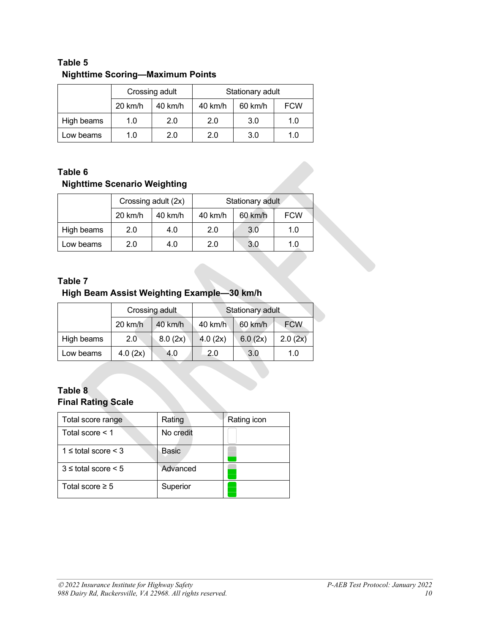### **Table 5 Nighttime Scoring—Maximum Points**

|            | Crossing adult |                   | Stationary adult |         |            |
|------------|----------------|-------------------|------------------|---------|------------|
|            | 20 km/h        | $40 \text{ km/h}$ | 40 km/h          | 60 km/h | <b>FCW</b> |
| High beams | 1.0            | 2.0               | 2.0              | 3.0     | 1.0        |
| Low beams  | 1.0            | 2.0               | 2.0              | 3.0     | 1.0        |

## **Table 6 Nighttime Scenario Weighting**

|            | Crossing adult (2x) |         | Stationary adult |         |            |
|------------|---------------------|---------|------------------|---------|------------|
|            | 20 km/h             | 40 km/h | 40 km/h          | 60 km/h | <b>FCW</b> |
| High beams | 2.0                 | 4.0     | 2.0              | 3.0     | 1.0        |
| Low beams  | 2.0                 | 4.0     | 2.0              | 3.0     | 1.0        |

### **Table 7**

# **High Beam Assist Weighting Example—30 km/h**

|            | Crossing adult |         | Stationary adult |            |            |
|------------|----------------|---------|------------------|------------|------------|
|            | $20$ km/h      | 40 km/h | 40 km/h          | 60 km/h    | <b>FCW</b> |
| High beams | $2.0^{\circ}$  | 8.0(2x) | 4.0(2x)          | 6.0 $(2x)$ | 2.0(2x)    |
| Low beams  | 4.0(2x)        | 4.0     | 2.0              | 3.0        | 1.0        |

#### **Table 8 Final Rating Scale**

| Total score range           | Rating    | Rating icon |
|-----------------------------|-----------|-------------|
| Total score $<$ 1           | No credit |             |
| $1 \le$ total score $\le$ 3 | Basic     |             |
| $3 \le$ total score $\le 5$ | Advanced  |             |
| Total score $\geq 5$        | Superior  |             |